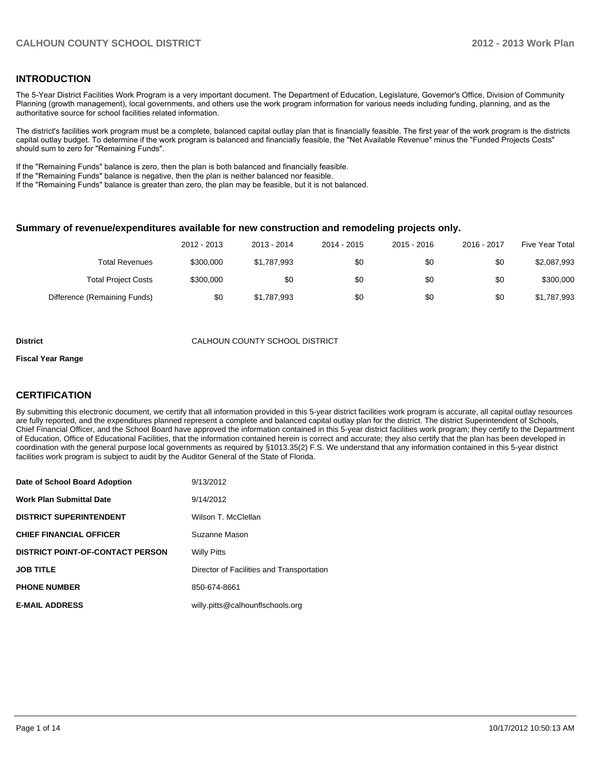#### **INTRODUCTION**

The 5-Year District Facilities Work Program is a very important document. The Department of Education, Legislature, Governor's Office, Division of Community Planning (growth management), local governments, and others use the work program information for various needs including funding, planning, and as the authoritative source for school facilities related information.

The district's facilities work program must be a complete, balanced capital outlay plan that is financially feasible. The first year of the work program is the districts capital outlay budget. To determine if the work program is balanced and financially feasible, the "Net Available Revenue" minus the "Funded Projects Costs" should sum to zero for "Remaining Funds".

If the "Remaining Funds" balance is zero, then the plan is both balanced and financially feasible.

If the "Remaining Funds" balance is negative, then the plan is neither balanced nor feasible.

If the "Remaining Funds" balance is greater than zero, the plan may be feasible, but it is not balanced.

#### **Summary of revenue/expenditures available for new construction and remodeling projects only.**

| <b>Five Year Total</b> | 2016 - 2017 | 2015 - 2016 | 2014 - 2015 | 2013 - 2014 | 2012 - 2013 |                              |
|------------------------|-------------|-------------|-------------|-------------|-------------|------------------------------|
| \$2,087,993            | \$0         | \$0         | \$0         | \$1,787,993 | \$300,000   | Total Revenues               |
| \$300,000              | \$0         | \$0         | \$0         | \$0         | \$300,000   | <b>Total Project Costs</b>   |
| \$1,787,993            | \$0         | \$0         | \$0         | \$1,787,993 | \$0         | Difference (Remaining Funds) |

#### **District** CALHOUN COUNTY SCHOOL DISTRICT

#### **Fiscal Year Range**

### **CERTIFICATION**

By submitting this electronic document, we certify that all information provided in this 5-year district facilities work program is accurate, all capital outlay resources are fully reported, and the expenditures planned represent a complete and balanced capital outlay plan for the district. The district Superintendent of Schools, Chief Financial Officer, and the School Board have approved the information contained in this 5-year district facilities work program; they certify to the Department of Education, Office of Educational Facilities, that the information contained herein is correct and accurate; they also certify that the plan has been developed in coordination with the general purpose local governments as required by §1013.35(2) F.S. We understand that any information contained in this 5-year district facilities work program is subject to audit by the Auditor General of the State of Florida.

| Date of School Board Adoption           | 9/13/2012                                 |
|-----------------------------------------|-------------------------------------------|
| <b>Work Plan Submittal Date</b>         | 9/14/2012                                 |
| <b>DISTRICT SUPERINTENDENT</b>          | Wilson T. McClellan                       |
| <b>CHIEF FINANCIAL OFFICER</b>          | Suzanne Mason                             |
| <b>DISTRICT POINT-OF-CONTACT PERSON</b> | <b>Willy Pitts</b>                        |
| <b>JOB TITLE</b>                        | Director of Facilities and Transportation |
| <b>PHONE NUMBER</b>                     | 850-674-8661                              |
| <b>E-MAIL ADDRESS</b>                   | willy.pitts@calhounflschools.org          |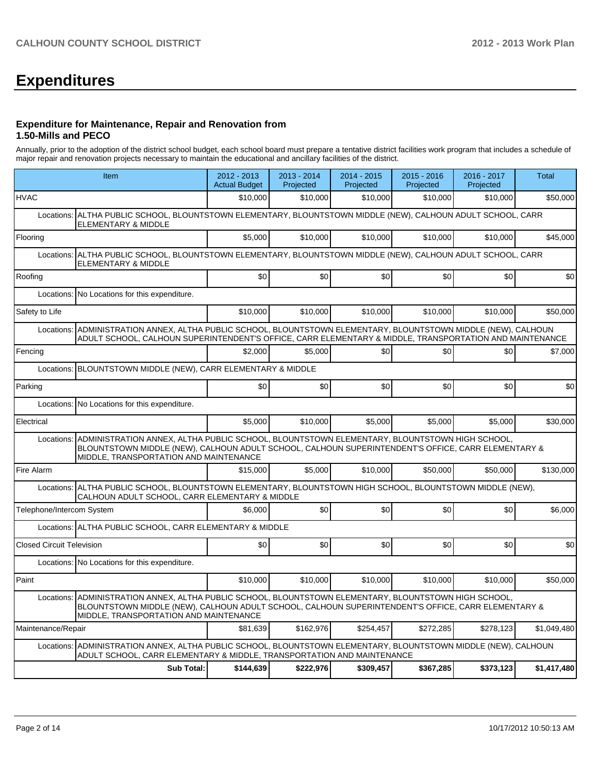# **Expenditures**

#### **Expenditure for Maintenance, Repair and Renovation from 1.50-Mills and PECO**

Annually, prior to the adoption of the district school budget, each school board must prepare a tentative district facilities work program that includes a schedule of major repair and renovation projects necessary to maintain the educational and ancillary facilities of the district.

|                                  | Item                                                                                                                                                                                                                                                   | 2012 - 2013<br><b>Actual Budget</b> | $2013 - 2014$<br>Projected | 2014 - 2015<br>Projected | $2015 - 2016$<br>Projected | 2016 - 2017<br>Projected | Total       |
|----------------------------------|--------------------------------------------------------------------------------------------------------------------------------------------------------------------------------------------------------------------------------------------------------|-------------------------------------|----------------------------|--------------------------|----------------------------|--------------------------|-------------|
| <b>HVAC</b>                      |                                                                                                                                                                                                                                                        | \$10,000                            | \$10,000                   | \$10,000                 | \$10,000                   | \$10,000                 | \$50,000    |
| Locations:                       | ALTHA PUBLIC SCHOOL, BLOUNTSTOWN ELEMENTARY, BLOUNTSTOWN MIDDLE (NEW), CALHOUN ADULT SCHOOL, CARR<br>ELEMENTARY & MIDDLE                                                                                                                               |                                     |                            |                          |                            |                          |             |
| Flooring                         |                                                                                                                                                                                                                                                        | \$5,000                             | \$10,000                   | \$10,000                 | \$10,000                   | \$10,000                 | \$45,000    |
| Locations:                       | ALTHA PUBLIC SCHOOL, BLOUNTSTOWN ELEMENTARY, BLOUNTSTOWN MIDDLE (NEW), CALHOUN ADULT SCHOOL, CARR<br>ELEMENTARY & MIDDLE                                                                                                                               |                                     |                            |                          |                            |                          |             |
| Roofing                          |                                                                                                                                                                                                                                                        | \$0                                 | \$0                        | \$0                      | \$0                        | \$0                      | \$0         |
| Locations:                       | No Locations for this expenditure.                                                                                                                                                                                                                     |                                     |                            |                          |                            |                          |             |
| Safety to Life                   |                                                                                                                                                                                                                                                        | \$10,000                            | \$10,000                   | \$10,000                 | \$10,000                   | \$10,000                 | \$50,000    |
| Locations:                       | ADMINISTRATION ANNEX, ALTHA PUBLIC SCHOOL, BLOUNTSTOWN ELEMENTARY, BLOUNTSTOWN MIDDLE (NEW), CALHOUN<br>ADULT SCHOOL, CALHOUN SUPERINTENDENT'S OFFICE, CARR ELEMENTARY & MIDDLE, TRANSPORTATION AND MAINTENANCE                                        |                                     |                            |                          |                            |                          |             |
| Fencing                          |                                                                                                                                                                                                                                                        | \$2.000                             | \$5.000                    | \$0                      | \$0                        | \$0                      | \$7,000     |
| Locations:                       | BLOUNTSTOWN MIDDLE (NEW), CARR ELEMENTARY & MIDDLE                                                                                                                                                                                                     |                                     |                            |                          |                            |                          |             |
| Parking                          |                                                                                                                                                                                                                                                        | \$0                                 | \$0                        | \$0                      | \$0                        | \$0                      | \$0         |
| Locations:                       | No Locations for this expenditure.                                                                                                                                                                                                                     |                                     |                            |                          |                            |                          |             |
| Electrical                       |                                                                                                                                                                                                                                                        | \$5,000                             | \$10,000                   | \$5,000                  | \$5.000                    | \$5.000                  | \$30,000    |
|                                  | Locations: ADMINISTRATION ANNEX, ALTHA PUBLIC SCHOOL, BLOUNTSTOWN ELEMENTARY, BLOUNTSTOWN HIGH SCHOOL,<br>BLOUNTSTOWN MIDDLE (NEW), CALHOUN ADULT SCHOOL, CALHOUN SUPERINTENDENT'S OFFICE, CARR ELEMENTARY &<br>MIDDLE, TRANSPORTATION AND MAINTENANCE |                                     |                            |                          |                            |                          |             |
| Fire Alarm                       |                                                                                                                                                                                                                                                        | \$15,000                            | \$5.000                    | \$10,000                 | \$50,000                   | \$50,000                 | \$130,000   |
| Locations:                       | ALTHA PUBLIC SCHOOL, BLOUNTSTOWN ELEMENTARY, BLOUNTSTOWN HIGH SCHOOL, BLOUNTSTOWN MIDDLE (NEW),<br>CALHOUN ADULT SCHOOL, CARR ELEMENTARY & MIDDLE                                                                                                      |                                     |                            |                          |                            |                          |             |
| Telephone/Intercom System        |                                                                                                                                                                                                                                                        | \$6,000                             | \$0                        | \$0                      | \$0                        | \$0                      | \$6,000     |
|                                  | Locations: ALTHA PUBLIC SCHOOL, CARR ELEMENTARY & MIDDLE                                                                                                                                                                                               |                                     |                            |                          |                            |                          |             |
| <b>Closed Circuit Television</b> |                                                                                                                                                                                                                                                        | \$0                                 | \$0                        | \$0                      | \$0                        | \$0                      | \$0         |
|                                  | Locations: No Locations for this expenditure.                                                                                                                                                                                                          |                                     |                            |                          |                            |                          |             |
| Paint                            |                                                                                                                                                                                                                                                        | \$10,000                            | \$10,000                   | \$10,000                 | \$10,000                   | \$10,000                 | \$50,000    |
|                                  | Locations: ADMINISTRATION ANNEX, ALTHA PUBLIC SCHOOL, BLOUNTSTOWN ELEMENTARY, BLOUNTSTOWN HIGH SCHOOL,<br>BLOUNTSTOWN MIDDLE (NEW), CALHOUN ADULT SCHOOL, CALHOUN SUPERINTENDENT'S OFFICE, CARR ELEMENTARY &<br>MIDDLE, TRANSPORTATION AND MAINTENANCE |                                     |                            |                          |                            |                          |             |
| Maintenance/Repair               |                                                                                                                                                                                                                                                        | \$81,639                            | \$162,976                  | \$254,457                | \$272,285                  | \$278,123                | \$1,049,480 |
|                                  | Locations: ADMINISTRATION ANNEX, ALTHA PUBLIC SCHOOL, BLOUNTSTOWN ELEMENTARY, BLOUNTSTOWN MIDDLE (NEW), CALHOUN<br>ADULT SCHOOL, CARR ELEMENTARY & MIDDLE, TRANSPORTATION AND MAINTENANCE                                                              |                                     |                            |                          |                            |                          |             |
|                                  | <b>Sub Total:</b>                                                                                                                                                                                                                                      | \$144,639                           | \$222,976                  | \$309,457                | \$367,285                  | \$373,123                | \$1,417,480 |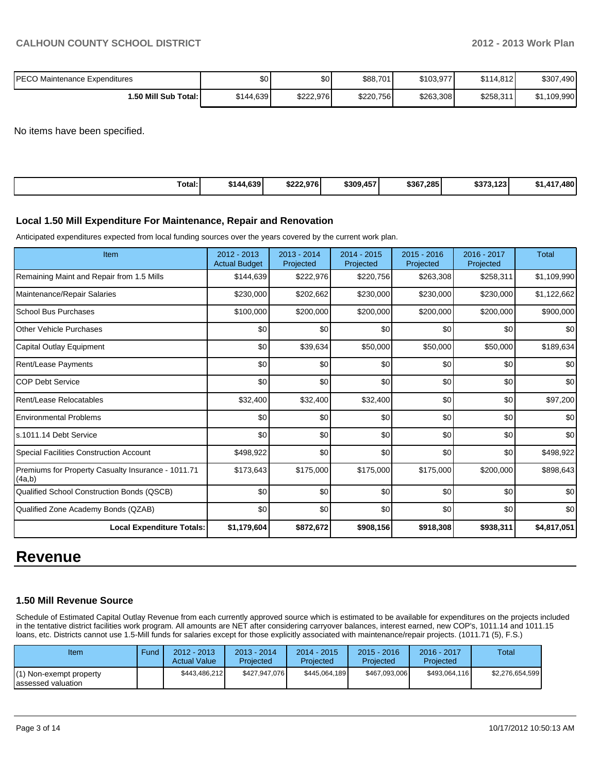| IPECO Maintenance Expenditures | \$0       | \$0       | \$88,701  | \$103,977 | \$114.812 | \$307,490   |
|--------------------------------|-----------|-----------|-----------|-----------|-----------|-------------|
| ا :50 Mill Sub Total.          | \$144,639 | \$222.976 | \$220,756 | \$263,308 | \$258,311 | \$1,109,990 |

No items have been specified.

| Total:<br>\$144,639 | <b>A57</b><br>\$222.976<br>\$309,45 | \$367,285 | 0.229<br>$\overline{AB}$<br>3373.1231 | .480 l<br>.417 |
|---------------------|-------------------------------------|-----------|---------------------------------------|----------------|
|---------------------|-------------------------------------|-----------|---------------------------------------|----------------|

#### **Local 1.50 Mill Expenditure For Maintenance, Repair and Renovation**

Anticipated expenditures expected from local funding sources over the years covered by the current work plan.

| Item                                                         | 2012 - 2013<br><b>Actual Budget</b> | $2013 - 2014$<br>Projected | $2014 - 2015$<br>Projected | 2015 - 2016<br>Projected | 2016 - 2017<br>Projected | <b>Total</b> |
|--------------------------------------------------------------|-------------------------------------|----------------------------|----------------------------|--------------------------|--------------------------|--------------|
| Remaining Maint and Repair from 1.5 Mills                    | \$144,639                           | \$222,976                  | \$220,756                  | \$263,308                | \$258,311                | \$1,109,990  |
| Maintenance/Repair Salaries                                  | \$230,000                           | \$202,662                  | \$230,000                  | \$230,000                | \$230,000                | \$1,122,662  |
| <b>School Bus Purchases</b>                                  | \$100,000                           | \$200,000                  | \$200,000                  | \$200,000                | \$200,000                | \$900,000    |
| <b>Other Vehicle Purchases</b>                               | \$0                                 | \$0                        | \$0                        | \$0                      | \$0                      | \$0          |
| Capital Outlay Equipment                                     | \$0                                 | \$39,634                   | \$50,000                   | \$50,000                 | \$50,000                 | \$189,634    |
| Rent/Lease Payments                                          | \$0                                 | \$0                        | \$0                        | \$0                      | \$0                      | \$0          |
| <b>COP Debt Service</b>                                      | \$0                                 | \$0                        | \$0                        | \$0                      | \$0                      | \$0          |
| Rent/Lease Relocatables                                      | \$32,400                            | \$32,400                   | \$32,400                   | \$0                      | \$0                      | \$97,200     |
| <b>Environmental Problems</b>                                | \$0                                 | \$0                        | \$0                        | \$0                      | \$0                      | \$0          |
| ls.1011.14 Debt Service                                      | \$0                                 | \$0                        | \$0                        | \$0                      | \$0                      | \$0          |
| Special Facilities Construction Account                      | \$498,922                           | \$0                        | \$0                        | \$0                      | \$0                      | \$498,922    |
| Premiums for Property Casualty Insurance - 1011.71<br>(4a,b) | \$173,643                           | \$175,000                  | \$175,000                  | \$175,000                | \$200,000                | \$898,643    |
| Qualified School Construction Bonds (QSCB)                   | \$0                                 | \$0                        | \$0                        | \$0                      | \$0                      | \$0          |
| Qualified Zone Academy Bonds (QZAB)                          | \$0                                 | \$0                        | \$0                        | \$0                      | \$0                      | \$0          |
| <b>Local Expenditure Totals:</b>                             | \$1,179,604                         | \$872,672                  | \$908,156                  | \$918,308                | \$938,311                | \$4,817,051  |

# **Revenue**

#### **1.50 Mill Revenue Source**

Schedule of Estimated Capital Outlay Revenue from each currently approved source which is estimated to be available for expenditures on the projects included in the tentative district facilities work program. All amounts are NET after considering carryover balances, interest earned, new COP's, 1011.14 and 1011.15 loans, etc. Districts cannot use 1.5-Mill funds for salaries except for those explicitly associated with maintenance/repair projects. (1011.71 (5), F.S.)

| Item                                           | Fund | $2012 - 2013$<br><b>Actual Value</b> | $2013 - 2014$<br>Projected | $2014 - 2015$<br>Projected | $2015 - 2016$<br>Projected | 2016 - 2017<br>Projected | Total           |
|------------------------------------------------|------|--------------------------------------|----------------------------|----------------------------|----------------------------|--------------------------|-----------------|
| (1) Non-exempt property<br>lassessed valuation |      | \$443,486,212                        | \$427.947.076              | \$445,064,189              | \$467.093.006              | \$493.064.116            | \$2,276,654,599 |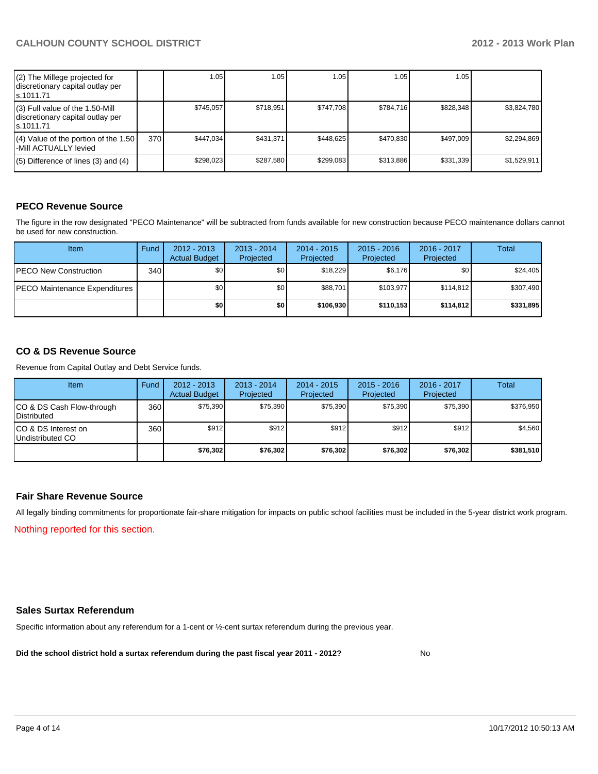# **CALHOUN COUNTY SCHOOL DISTRICT 2012 - 2013 Work Plan**

| (2) The Millege projected for<br>discretionary capital outlay per<br>ls.1011.71   |     | 1.05      | 1.05      | ا 05. ،   | 1.05      | 1.05 I    |             |
|-----------------------------------------------------------------------------------|-----|-----------|-----------|-----------|-----------|-----------|-------------|
| (3) Full value of the 1.50-Mill<br>discretionary capital outlay per<br>ls.1011.71 |     | \$745.057 | \$718,951 | \$747.708 | \$784.716 | \$828,348 | \$3,824,780 |
| $(4)$ Value of the portion of the 1.50<br>l-Mill ACTUALLY levied                  | 370 | \$447.034 | \$431.371 | \$448.625 | \$470.830 | \$497,009 | \$2.294.869 |
| $(5)$ Difference of lines $(3)$ and $(4)$                                         |     | \$298.023 | \$287.580 | \$299.083 | \$313.886 | \$331.339 | \$1,529,911 |

### **PECO Revenue Source**

The figure in the row designated "PECO Maintenance" will be subtracted from funds available for new construction because PECO maintenance dollars cannot be used for new construction.

| Item                                  | Fund | $2012 - 2013$<br><b>Actual Budget</b> | $2013 - 2014$<br>Projected | $2014 - 2015$<br>Projected | $2015 - 2016$<br>Projected | 2016 - 2017<br>Projected | Total     |
|---------------------------------------|------|---------------------------------------|----------------------------|----------------------------|----------------------------|--------------------------|-----------|
| <b>IPECO New Construction</b>         | 340  | \$0 I                                 | \$0 <sub>1</sub>           | \$18,229                   | \$6,176                    | \$0                      | \$24,405  |
| <b>IPECO Maintenance Expenditures</b> |      | \$O I                                 | \$0 <sub>1</sub>           | \$88.701                   | \$103.977                  | \$114.812                | \$307,490 |
|                                       |      | \$O I                                 | \$0                        | \$106,930                  | \$110.153                  | \$114,812                | \$331,895 |

### **CO & DS Revenue Source**

Revenue from Capital Outlay and Debt Service funds.

| Item                                               | Fund | $2012 - 2013$<br><b>Actual Budget</b> | $2013 - 2014$<br>Projected | $2014 - 2015$<br>Projected | $2015 - 2016$<br>Projected | 2016 - 2017<br>Projected | Total     |
|----------------------------------------------------|------|---------------------------------------|----------------------------|----------------------------|----------------------------|--------------------------|-----------|
| ICO & DS Cash Flow-through<br><b>I</b> Distributed | 360  | \$75,390                              | \$75.390                   | \$75,390                   | \$75.390                   | \$75.390                 | \$376,950 |
| ICO & DS Interest on<br>Undistributed CO           | 360  | \$912                                 | \$912                      | \$912                      | \$912                      | \$912                    | \$4,560   |
|                                                    |      | \$76,302                              | \$76,302                   | \$76,302                   | \$76,302                   | \$76,302                 | \$381,510 |

#### **Fair Share Revenue Source**

Nothing reported for this section. All legally binding commitments for proportionate fair-share mitigation for impacts on public school facilities must be included in the 5-year district work program.

#### **Sales Surtax Referendum**

Specific information about any referendum for a 1-cent or ½-cent surtax referendum during the previous year.

**Did the school district hold a surtax referendum during the past fiscal year 2011 - 2012?**

No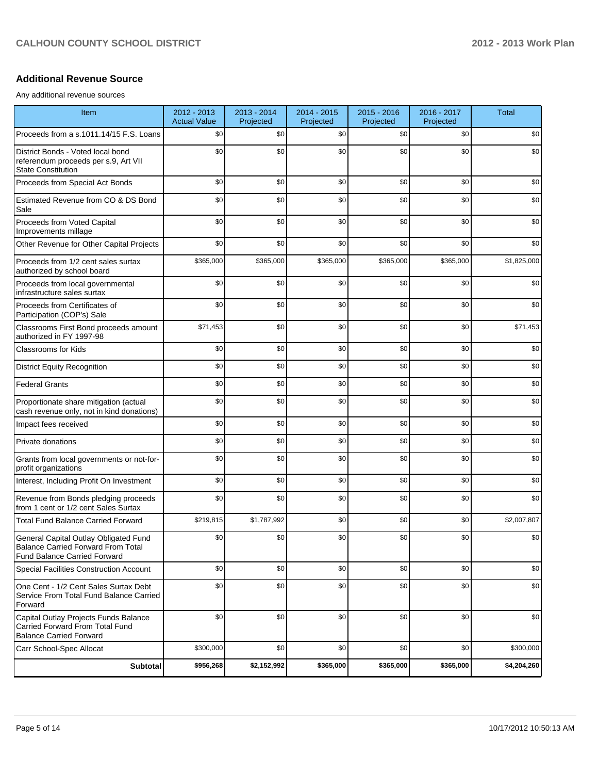## **Additional Revenue Source**

Any additional revenue sources

| Item                                                                                                                      | 2012 - 2013<br><b>Actual Value</b> | 2013 - 2014<br>Projected | 2014 - 2015<br>Projected | $2015 - 2016$<br>Projected | 2016 - 2017<br>Projected | <b>Total</b> |
|---------------------------------------------------------------------------------------------------------------------------|------------------------------------|--------------------------|--------------------------|----------------------------|--------------------------|--------------|
| Proceeds from a s.1011.14/15 F.S. Loans                                                                                   | \$0                                | \$0                      | \$0                      | \$0                        | \$0                      | \$0          |
| District Bonds - Voted local bond<br>referendum proceeds per s.9, Art VII<br><b>State Constitution</b>                    | \$0                                | \$0                      | \$0                      | \$0                        | \$0                      | \$0          |
| Proceeds from Special Act Bonds                                                                                           | \$0                                | \$0                      | \$0                      | \$0                        | \$0                      | \$0          |
| Estimated Revenue from CO & DS Bond<br>Sale                                                                               | \$0                                | \$0                      | \$0                      | \$0                        | \$0                      | \$0          |
| Proceeds from Voted Capital<br>Improvements millage                                                                       | \$0                                | \$0                      | \$0                      | \$0                        | \$0                      | \$0          |
| Other Revenue for Other Capital Projects                                                                                  | \$0                                | \$0                      | \$0                      | \$0                        | \$0                      | \$0          |
| Proceeds from 1/2 cent sales surtax<br>authorized by school board                                                         | \$365,000                          | \$365,000                | \$365,000                | \$365,000                  | \$365,000                | \$1,825,000  |
| Proceeds from local governmental<br>infrastructure sales surtax                                                           | \$0                                | \$0                      | \$0                      | \$0                        | \$0                      | \$0          |
| Proceeds from Certificates of<br>Participation (COP's) Sale                                                               | \$0                                | \$0                      | \$0                      | \$0                        | \$0                      | \$0          |
| Classrooms First Bond proceeds amount<br>authorized in FY 1997-98                                                         | \$71,453                           | \$0                      | \$0                      | \$0                        | \$0                      | \$71,453     |
| <b>Classrooms for Kids</b>                                                                                                | \$0                                | \$0                      | \$0                      | \$0                        | \$0                      | \$0          |
| <b>District Equity Recognition</b>                                                                                        | \$0                                | \$0                      | \$0                      | \$0                        | \$0                      | \$0          |
| <b>Federal Grants</b>                                                                                                     | \$0                                | \$0                      | \$0                      | \$0                        | \$0                      | \$0          |
| Proportionate share mitigation (actual<br>cash revenue only, not in kind donations)                                       | \$0                                | \$0                      | \$0                      | \$0                        | \$0                      | \$0          |
| Impact fees received                                                                                                      | \$0                                | \$0                      | \$0                      | \$0                        | \$0                      | \$0          |
| Private donations                                                                                                         | \$0                                | \$0                      | \$0                      | \$0                        | \$0                      | \$0          |
| Grants from local governments or not-for-<br>profit organizations                                                         | \$0                                | \$0                      | \$0                      | \$0                        | \$0                      | \$0          |
| Interest, Including Profit On Investment                                                                                  | \$0                                | \$0                      | \$0                      | \$0                        | \$0                      | \$0          |
| Revenue from Bonds pledging proceeds<br>from 1 cent or 1/2 cent Sales Surtax                                              | \$0                                | \$0                      | \$0                      | \$0                        | \$0                      | \$0          |
| <b>Total Fund Balance Carried Forward</b>                                                                                 | \$219,815                          | \$1,787,992              | \$0                      | \$0                        | \$0                      | \$2,007,807  |
| General Capital Outlay Obligated Fund<br><b>Balance Carried Forward From Total</b><br><b>Fund Balance Carried Forward</b> | \$0                                | \$0                      | \$0                      | \$0                        | \$0                      | \$0          |
| Special Facilities Construction Account                                                                                   | \$0                                | \$0                      | \$0                      | \$0                        | \$0                      | \$0          |
| One Cent - 1/2 Cent Sales Surtax Debt<br>Service From Total Fund Balance Carried<br>Forward                               | \$0                                | \$0                      | \$0                      | \$0                        | \$0                      | \$0          |
| Capital Outlay Projects Funds Balance<br>Carried Forward From Total Fund<br><b>Balance Carried Forward</b>                | \$0                                | \$0                      | \$0                      | \$0                        | \$0                      | \$0          |
| Carr School-Spec Allocat                                                                                                  | \$300,000                          | \$0                      | \$0                      | \$0                        | \$0                      | \$300,000    |
| Subtotal                                                                                                                  | \$956,268                          | \$2,152,992              | \$365,000                | \$365,000                  | \$365,000                | \$4,204,260  |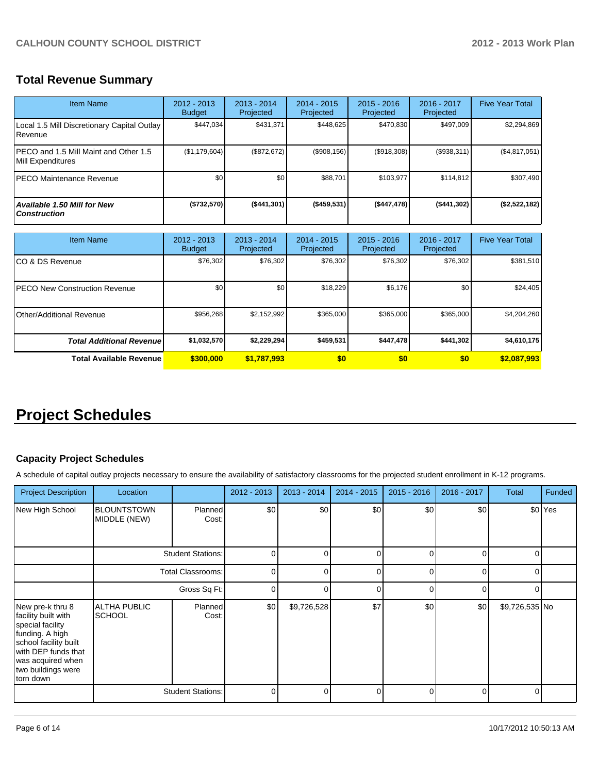# **Total Revenue Summary**

| <b>Item Name</b>                                                  | 2012 - 2013<br><b>Budget</b>   | 2013 - 2014<br>Projected   | 2014 - 2015<br>Projected   | $2015 - 2016$<br>Projected | 2016 - 2017<br>Projected | <b>Five Year Total</b> |
|-------------------------------------------------------------------|--------------------------------|----------------------------|----------------------------|----------------------------|--------------------------|------------------------|
| Local 1.5 Mill Discretionary Capital Outlay<br>Revenue            | \$447,034                      | \$431,371                  | \$448,625                  | \$470,830                  | \$497,009                | \$2,294,869            |
| PECO and 1.5 Mill Maint and Other 1.5<br><b>Mill Expenditures</b> | (\$1,179,604)                  | (\$872, 672)               | (\$908, 156)               | (\$918,308)                | (\$938,311)              | (\$4,817,051)          |
| <b>PECO Maintenance Revenue</b>                                   | \$0                            | \$0                        | \$88.701                   | \$103,977                  | \$114,812                | \$307,490              |
| Available 1.50 Mill for New<br><b>Construction</b>                | (\$732,570)                    | (\$441,301)                | (\$459,531)                | (\$447,478)                | (\$441,302)              | (\$2,522,182)          |
| <b>Item Name</b>                                                  | $2012 - 2013$<br><b>Budget</b> | $2013 - 2014$<br>Projected | $2014 - 2015$<br>Projected | $2015 - 2016$<br>Projected | 2016 - 2017<br>Projected | <b>Five Year Total</b> |
| CO & DS Revenue                                                   | \$76,302                       | \$76,302                   | \$76,302                   | \$76,302                   | \$76,302                 | \$381,510              |

| . UU W DU . \UVU.IUU                 | $\ddotsc$   | $\ddotsc$        | <b></b>   | $\ddotsc$ | <b>v.v.v.</b>    | <b></b>     |
|--------------------------------------|-------------|------------------|-----------|-----------|------------------|-------------|
| <b>PECO New Construction Revenue</b> | \$0         | \$0 <sub>1</sub> | \$18,229  | \$6,176   | \$0 <sub>1</sub> | \$24,405    |
| <b>IOther/Additional Revenue</b>     | \$956,268   | \$2,152,992      | \$365,000 | \$365,000 | \$365,000        | \$4,204,260 |
| <b>Total Additional Revenuel</b>     | \$1,032,570 | \$2,229,294      | \$459,531 | \$447,478 | \$441,302        | \$4,610,175 |
| <b>Total Available Revenue</b>       | \$300,000   | \$1,787,993      | \$0       | <b>SO</b> | \$0              | \$2,087,993 |

# **Project Schedules**

# **Capacity Project Schedules**

A schedule of capital outlay projects necessary to ensure the availability of satisfactory classrooms for the projected student enrollment in K-12 programs.

| <b>Project Description</b>                                                                                                                                                             | Location                             |                          | 2012 - 2013 | 2013 - 2014 | $2014 - 2015$ | $2015 - 2016$ | 2016 - 2017 | <b>Total</b>   | Funded             |
|----------------------------------------------------------------------------------------------------------------------------------------------------------------------------------------|--------------------------------------|--------------------------|-------------|-------------|---------------|---------------|-------------|----------------|--------------------|
| New High School                                                                                                                                                                        | <b>BLOUNTSTOWN</b><br>MIDDLE (NEW)   | Planned<br>Cost:         | \$0         | \$0         | \$0           | \$0           | \$0         |                | \$0 <sup>Yes</sup> |
|                                                                                                                                                                                        |                                      | <b>Student Stations:</b> |             | n           | C             |               | 0           | $\Omega$       |                    |
|                                                                                                                                                                                        | <b>Total Classrooms:</b>             |                          | 0           | n           |               |               | 0           | $\Omega$       |                    |
|                                                                                                                                                                                        | Gross Sq Ft:                         |                          | 0           |             | C             | ი             | 0           | 0              |                    |
| New pre-k thru 8<br>facility built with<br>special facility<br>funding. A high<br>school facility built<br>with DEP funds that<br>was acquired when<br>two buildings were<br>torn down | <b>ALTHA PUBLIC</b><br><b>SCHOOL</b> | Planned<br>Cost:         | \$0         | \$9,726,528 | \$7           | \$0           | \$0         | \$9,726,535 No |                    |
|                                                                                                                                                                                        |                                      | <b>Student Stations:</b> | 0           |             | C             |               | 0           | $\Omega$       |                    |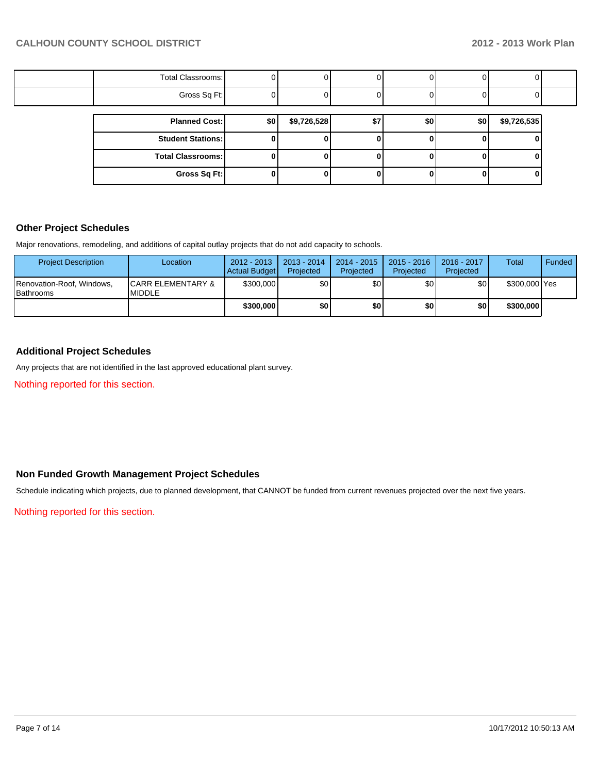| Total Classrooms: |  |  |  |  |
|-------------------|--|--|--|--|
| Gross Sq Ft:      |  |  |  |  |

| <b>Planned Cost:</b>       | \$0 | \$9,726,528 | \$7 | \$0 | \$0 | \$9,726,535 |
|----------------------------|-----|-------------|-----|-----|-----|-------------|
| <b>Student Stations: I</b> |     |             |     |     |     |             |
| <b>Total Classrooms:</b>   |     |             |     |     |     |             |
| Gross Sq Ft:               |     |             |     |     |     |             |

#### **Other Project Schedules**

Major renovations, remodeling, and additions of capital outlay projects that do not add capacity to schools.

| <b>Project Description</b>                    | Location                                       | $2012 - 2013$<br>Actual Budget | 2013 - 2014<br>Projected | 2014 - 2015<br>Projected | 2015 - 2016<br>Projected | $2016 - 2017$<br>Projected | Total         | Funded |
|-----------------------------------------------|------------------------------------------------|--------------------------------|--------------------------|--------------------------|--------------------------|----------------------------|---------------|--------|
| Renovation-Roof, Windows,<br><b>Bathrooms</b> | <b>ICARR ELEMENTARY &amp;</b><br><b>MIDDLE</b> | \$300,000                      | \$0 I                    | \$O I                    | \$0 I                    | \$0 I                      | \$300,000 Yes |        |
|                                               |                                                | \$300,000                      | \$O I                    | \$0 I                    | \$0 I                    | \$0                        | \$300,000     |        |

# **Additional Project Schedules**

Any projects that are not identified in the last approved educational plant survey.

Nothing reported for this section.

## **Non Funded Growth Management Project Schedules**

Schedule indicating which projects, due to planned development, that CANNOT be funded from current revenues projected over the next five years.

#### Nothing reported for this section.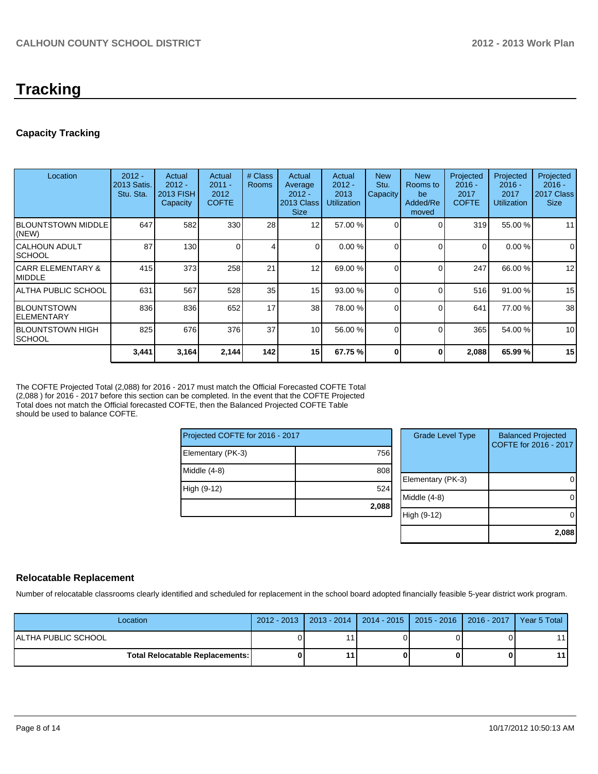# **Tracking**

# **Capacity Tracking**

| Location                            | $2012 -$<br>2013 Satis.<br>Stu. Sta. | Actual<br>$2012 -$<br>2013 FISH<br><b>Capacity</b> | Actual<br>$2011 -$<br>2012<br><b>COFTE</b> | # Class<br><b>Rooms</b> | Actual<br>Average<br>$2012 -$<br>2013 Class<br><b>Size</b> | Actual<br>$2012 -$<br>2013<br><b>Utilization</b> | <b>New</b><br>Stu.<br>Capacity | <b>New</b><br>Rooms to<br>be<br>Added/Re<br>moved | Projected<br>$2016 -$<br>2017<br><b>COFTE</b> | Projected<br>$2016 -$<br>2017<br><b>Utilization</b> | Projected<br>$2016 -$<br>2017 Class<br><b>Size</b> |
|-------------------------------------|--------------------------------------|----------------------------------------------------|--------------------------------------------|-------------------------|------------------------------------------------------------|--------------------------------------------------|--------------------------------|---------------------------------------------------|-----------------------------------------------|-----------------------------------------------------|----------------------------------------------------|
| <b>IBLOUNTSTOWN MIDDLE</b><br>(NEW) | 647                                  | 582                                                | 330                                        | 28                      | 12                                                         | 57.00 %                                          |                                | $\Omega$                                          | 319                                           | 55.00 %                                             | 11                                                 |
| ICALHOUN ADULT<br>SCHOOL            | 87                                   | 130                                                |                                            | 4                       | $\Omega$                                                   | 0.00 %                                           |                                | $\Omega$                                          | $\Omega$                                      | 0.00%                                               | 0                                                  |
| CARR ELEMENTARY &<br>IMIDDLE        | 415                                  | 373                                                | 258                                        | 21                      | 12                                                         | 69.00 %                                          |                                | $\Omega$                                          | 247                                           | 66.00 %                                             | 12                                                 |
| IALTHA PUBLIC SCHOOL                | 631                                  | 567                                                | 528                                        | 35                      | 15                                                         | 93.00 %                                          |                                | $\Omega$                                          | 516                                           | 91.00 %                                             | 15                                                 |
| IBLOUNTSTOWN<br>IELEMENTARY         | 836                                  | 836                                                | 652                                        | 17                      | 38                                                         | 78.00 %                                          | $\Omega$                       | $\Omega$                                          | 641                                           | 77.00 %                                             | 38                                                 |
| IBLOUNTSTOWN HIGH<br><b>SCHOOL</b>  | 825                                  | 676                                                | 376                                        | 37                      | 10 <sup>1</sup>                                            | 56.00 %                                          | $\Omega$                       | $\Omega$                                          | 365                                           | 54.00 %                                             | 10                                                 |
|                                     | 3,441                                | 3,164                                              | 2,144                                      | 142                     | 15                                                         | 67.75 %                                          | 0                              | 0                                                 | 2,088                                         | 65.99%                                              | 15                                                 |

The COFTE Projected Total (2,088) for 2016 - 2017 must match the Official Forecasted COFTE Total (2,088 ) for 2016 - 2017 before this section can be completed. In the event that the COFTE Projected Total does not match the Official forecasted COFTE, then the Balanced Projected COFTE Table should be used to balance COFTE.

| Projected COFTE for 2016 - 2017 |       |    |  |  |
|---------------------------------|-------|----|--|--|
| Elementary (PK-3)               | 756   |    |  |  |
| Middle (4-8)                    | 808   | Ē  |  |  |
| High (9-12)                     | 524   | ۱N |  |  |
|                                 | 2,088 |    |  |  |

| <b>Grade Level Type</b> | <b>Balanced Projected</b><br>COFTE for 2016 - 2017 |
|-------------------------|----------------------------------------------------|
| Elementary (PK-3)       |                                                    |
| Middle $(4-8)$          |                                                    |
| High (9-12)             |                                                    |
|                         | 2,088                                              |

#### **Relocatable Replacement**

Number of relocatable classrooms clearly identified and scheduled for replacement in the school board adopted financially feasible 5-year district work program.

| Location                                 | 2012 - 2013   2013 - 2014   2014 - 2015   2015 - 2016   2016 - 2017   Year 5 Total |  |      |
|------------------------------------------|------------------------------------------------------------------------------------|--|------|
| IALTHA PUBLIC SCHOOL                     |                                                                                    |  | 11 I |
| <b>Total Relocatable Replacements: I</b> |                                                                                    |  | 11 I |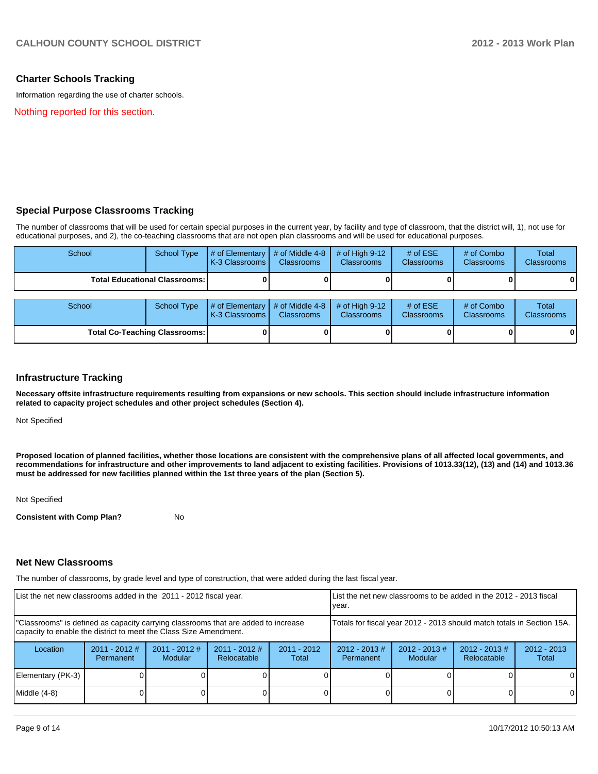#### **Charter Schools Tracking**

Information regarding the use of charter schools.

Nothing reported for this section.

#### **Special Purpose Classrooms Tracking**

The number of classrooms that will be used for certain special purposes in the current year, by facility and type of classroom, that the district will, 1), not use for educational purposes, and 2), the co-teaching classrooms that are not open plan classrooms and will be used for educational purposes.

| School                               | <b>School Type</b>                     | # of Elementary<br>K-3 Classrooms        | # of Middle 4-8<br><b>Classrooms</b> | # of High $9-12$<br><b>Classrooms</b> | # of $ESE$<br><b>Classrooms</b> | # of Combo<br><b>Classrooms</b> | <b>Total</b><br><b>Classrooms</b> |
|--------------------------------------|----------------------------------------|------------------------------------------|--------------------------------------|---------------------------------------|---------------------------------|---------------------------------|-----------------------------------|
|                                      | <b>Total Educational Classrooms: I</b> |                                          |                                      |                                       |                                 |                                 | $\mathbf{0}$                      |
| School                               | School Type                            | # of Elementary<br><b>K-3 Classrooms</b> | # of Middle 4-8<br><b>Classrooms</b> | # of High $9-12$<br><b>Classrooms</b> | # of $ESE$<br><b>Classrooms</b> | # of Combo<br><b>Classrooms</b> | <b>Total</b><br><b>Classrooms</b> |
| <b>Total Co-Teaching Classrooms:</b> |                                        |                                          |                                      |                                       |                                 |                                 | 0                                 |

#### **Infrastructure Tracking**

**Necessary offsite infrastructure requirements resulting from expansions or new schools. This section should include infrastructure information related to capacity project schedules and other project schedules (Section 4).**

Not Specified

**Proposed location of planned facilities, whether those locations are consistent with the comprehensive plans of all affected local governments, and recommendations for infrastructure and other improvements to land adjacent to existing facilities. Provisions of 1013.33(12), (13) and (14) and 1013.36 must be addressed for new facilities planned within the 1st three years of the plan (Section 5).**

Not Specified

**Consistent with Comp Plan?** No

#### **Net New Classrooms**

The number of classrooms, by grade level and type of construction, that were added during the last fiscal year.

| List the net new classrooms added in the 2011 - 2012 fiscal year.                                                                                       |                              |                                   | Llist the net new classrooms to be added in the 2012 - 2013 fiscal<br>Ivear. |                        |                              |                                    |                                 |                        |
|---------------------------------------------------------------------------------------------------------------------------------------------------------|------------------------------|-----------------------------------|------------------------------------------------------------------------------|------------------------|------------------------------|------------------------------------|---------------------------------|------------------------|
| "Classrooms" is defined as capacity carrying classrooms that are added to increase<br>capacity to enable the district to meet the Class Size Amendment. |                              |                                   | Totals for fiscal year 2012 - 2013 should match totals in Section 15A.       |                        |                              |                                    |                                 |                        |
| Location                                                                                                                                                | $2011 - 2012$ #<br>Permanent | $2011 - 2012$ #<br><b>Modular</b> | $2011 - 2012$ #<br>Relocatable                                               | $2011 - 2012$<br>Total | $2012 - 2013$ #<br>Permanent | $2012 - 2013 \#$<br><b>Modular</b> | $2012 - 2013 \#$<br>Relocatable | $2012 - 2013$<br>Total |
| Elementary (PK-3)                                                                                                                                       |                              |                                   |                                                                              |                        |                              |                                    |                                 | $\Omega$               |
| Middle (4-8)                                                                                                                                            |                              |                                   |                                                                              |                        |                              |                                    |                                 | $\Omega$               |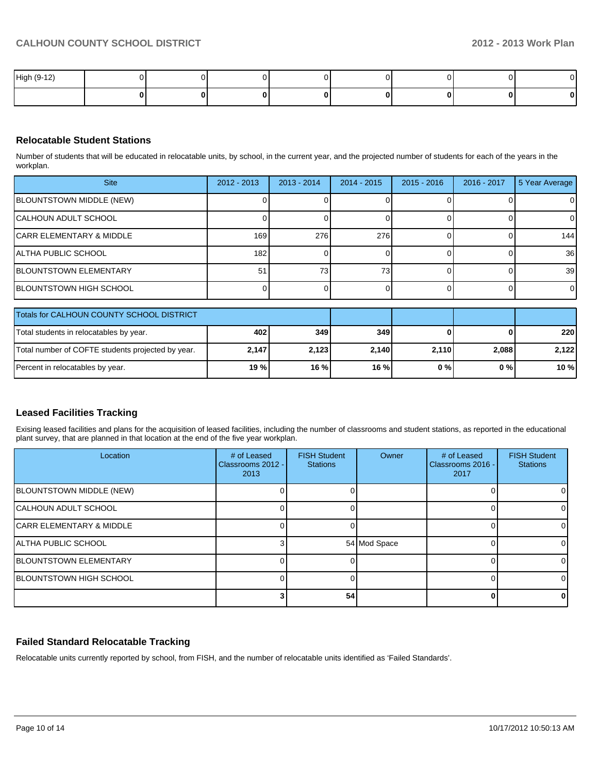| High (9-12) |  |  |  | $\sim$ |
|-------------|--|--|--|--------|
|             |  |  |  | 0      |

## **Relocatable Student Stations**

Number of students that will be educated in relocatable units, by school, in the current year, and the projected number of students for each of the years in the workplan.

| <b>Site</b>                   | 2012 - 2013 | $2013 - 2014$   | 2014 - 2015     | $2015 - 2016$ | 2016 - 2017 | 5 Year Average  |
|-------------------------------|-------------|-----------------|-----------------|---------------|-------------|-----------------|
| BLOUNTSTOWN MIDDLE (NEW)      |             |                 |                 |               |             |                 |
| CALHOUN ADULT SCHOOL          |             |                 |                 |               |             |                 |
| CARR ELEMENTARY & MIDDLE      | 169         | 276             | 276             |               |             | 144             |
| IALTHA PUBLIC SCHOOL          | 1821        |                 |                 |               |             | 36              |
| <b>BLOUNTSTOWN ELEMENTARY</b> | 51          | 73 <sub>1</sub> | 73 <sub>1</sub> |               |             | 39 <sup>°</sup> |
| IBLOUNTSTOWN HIGH SCHOOL      |             |                 |                 |               |             | ΟI              |

| <b>Totals for CALHOUN COUNTY SCHOOL DISTRICT</b>  |        |       |         |       |       |             |
|---------------------------------------------------|--------|-------|---------|-------|-------|-------------|
| Total students in relocatables by year.           | 402    | 349   | 349     |       |       | <b>2201</b> |
| Total number of COFTE students projected by year. | 2.147  | 2.123 | 2.140   | 2.110 | 2.088 | 2.122       |
| Percent in relocatables by year.                  | 19 % l | 16%   | $16 \%$ | 0 % I | 0 % I | $10 \%$     |

## **Leased Facilities Tracking**

Exising leased facilities and plans for the acquisition of leased facilities, including the number of classrooms and student stations, as reported in the educational plant survey, that are planned in that location at the end of the five year workplan.

| Location                             | # of Leased<br>Classrooms 2012 -<br>2013 | <b>FISH Student</b><br><b>Stations</b> | Owner        | # of Leased<br>Classrooms 2016 -<br>2017 | <b>FISH Student</b><br><b>Stations</b> |
|--------------------------------------|------------------------------------------|----------------------------------------|--------------|------------------------------------------|----------------------------------------|
| <b>BLOUNTSTOWN MIDDLE (NEW)</b>      |                                          |                                        |              |                                          |                                        |
| <b>CALHOUN ADULT SCHOOL</b>          |                                          |                                        |              |                                          |                                        |
| <b>ICARR ELEMENTARY &amp; MIDDLE</b> |                                          |                                        |              |                                          |                                        |
| IALTHA PUBLIC SCHOOL                 |                                          |                                        | 54 Mod Space |                                          |                                        |
| <b>BLOUNTSTOWN ELEMENTARY</b>        |                                          |                                        |              |                                          |                                        |
| <b>IBLOUNTSTOWN HIGH SCHOOL</b>      |                                          |                                        |              |                                          |                                        |
|                                      |                                          | 54                                     |              |                                          |                                        |

## **Failed Standard Relocatable Tracking**

Relocatable units currently reported by school, from FISH, and the number of relocatable units identified as 'Failed Standards'.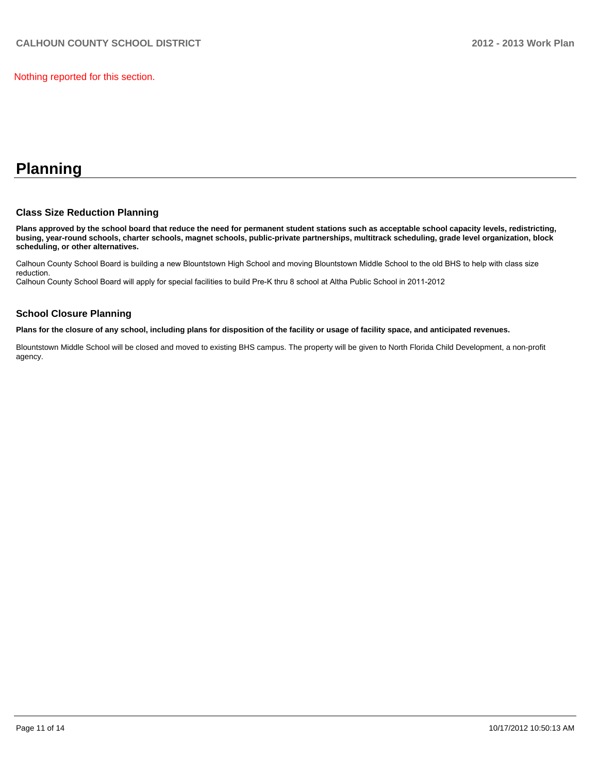Nothing reported for this section.

# **Planning**

### **Class Size Reduction Planning**

**Plans approved by the school board that reduce the need for permanent student stations such as acceptable school capacity levels, redistricting, busing, year-round schools, charter schools, magnet schools, public-private partnerships, multitrack scheduling, grade level organization, block scheduling, or other alternatives.**

Calhoun County School Board is building a new Blountstown High School and moving Blountstown Middle School to the old BHS to help with class size reduction

Calhoun County School Board will apply for special facilities to build Pre-K thru 8 school at Altha Public School in 2011-2012

### **School Closure Planning**

**Plans for the closure of any school, including plans for disposition of the facility or usage of facility space, and anticipated revenues.**

Blountstown Middle School will be closed and moved to existing BHS campus. The property will be given to North Florida Child Development, a non-profit agency.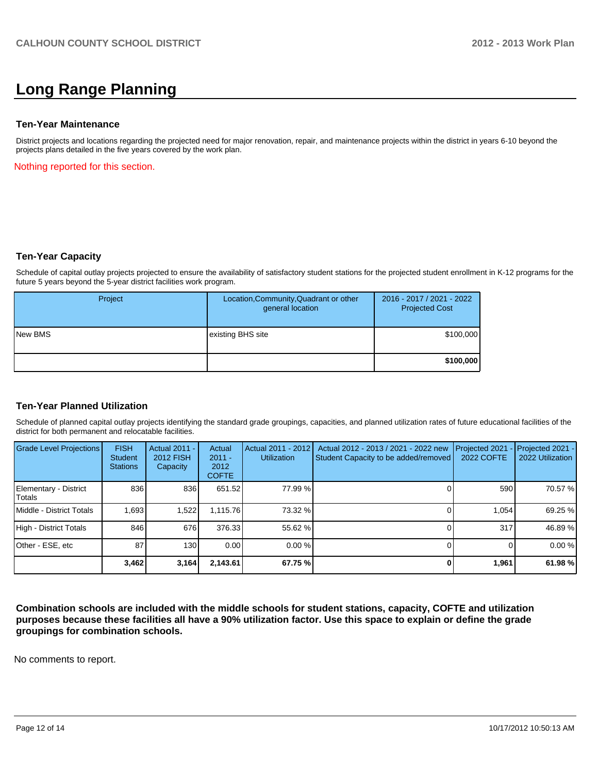# **Long Range Planning**

#### **Ten-Year Maintenance**

District projects and locations regarding the projected need for major renovation, repair, and maintenance projects within the district in years 6-10 beyond the projects plans detailed in the five years covered by the work plan.

Nothing reported for this section.

#### **Ten-Year Capacity**

Schedule of capital outlay projects projected to ensure the availability of satisfactory student stations for the projected student enrollment in K-12 programs for the future 5 years beyond the 5-year district facilities work program.

| Project        | Location, Community, Quadrant or other<br>general location | 2016 - 2017 / 2021 - 2022<br><b>Projected Cost</b> |
|----------------|------------------------------------------------------------|----------------------------------------------------|
| <b>New BMS</b> | existing BHS site                                          | \$100,000                                          |
|                |                                                            | \$100,000                                          |

#### **Ten-Year Planned Utilization**

Schedule of planned capital outlay projects identifying the standard grade groupings, capacities, and planned utilization rates of future educational facilities of the district for both permanent and relocatable facilities.

| Grade Level Projections         | <b>FISH</b><br>Student<br><b>Stations</b> | <b>Actual 2011 -</b><br>2012 FISH<br>Capacity | Actual<br>$2011 -$<br>2012<br><b>COFTE</b> | Actual 2011 - 2012<br><b>Utilization</b> | Actual 2012 - 2013 / 2021 - 2022 new<br>Student Capacity to be added/removed | Projected 2021<br>2022 COFTE | Projected 2021 -<br>2022 Utilization |
|---------------------------------|-------------------------------------------|-----------------------------------------------|--------------------------------------------|------------------------------------------|------------------------------------------------------------------------------|------------------------------|--------------------------------------|
| Elementary - District<br>Totals | 836                                       | 836                                           | 651.52                                     | 77.99 %                                  |                                                                              | 590                          | 70.57 %                              |
| Middle - District Totals        | 1.693                                     | 1,522                                         | 1.115.76                                   | 73.32 %                                  |                                                                              | 1.054                        | 69.25 %                              |
| High - District Totals          | 846                                       | 676                                           | 376.33                                     | 55.62 %                                  |                                                                              | 317                          | 46.89 %                              |
| Other - ESE, etc                | 87                                        | 130                                           | 0.00                                       | $0.00\%$                                 |                                                                              |                              | 0.00%                                |
|                                 | 3,462                                     | 3,164                                         | 2,143.61                                   | 67.75 %                                  |                                                                              | 1,961                        | 61.98 %                              |

**Combination schools are included with the middle schools for student stations, capacity, COFTE and utilization purposes because these facilities all have a 90% utilization factor. Use this space to explain or define the grade groupings for combination schools.**

No comments to report.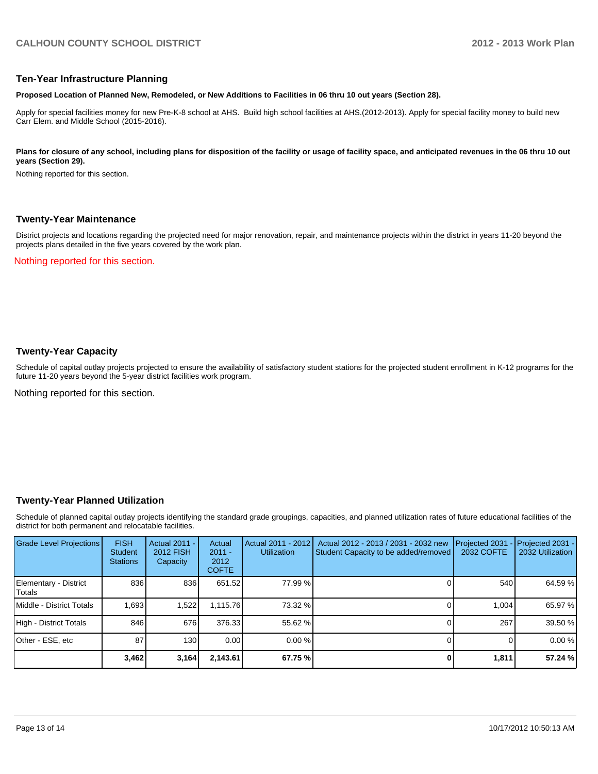#### **Ten-Year Infrastructure Planning**

**Proposed Location of Planned New, Remodeled, or New Additions to Facilities in 06 thru 10 out years (Section 28).**

Apply for special facilities money for new Pre-K-8 school at AHS. Build high school facilities at AHS.(2012-2013). Apply for special facility money to build new Carr Elem. and Middle School (2015-2016).

#### Plans for closure of any school, including plans for disposition of the facility or usage of facility space, and anticipated revenues in the 06 thru 10 out **years (Section 29).**

Nothing reported for this section.

#### **Twenty-Year Maintenance**

District projects and locations regarding the projected need for major renovation, repair, and maintenance projects within the district in years 11-20 beyond the projects plans detailed in the five years covered by the work plan.

Nothing reported for this section.

### **Twenty-Year Capacity**

Schedule of capital outlay projects projected to ensure the availability of satisfactory student stations for the projected student enrollment in K-12 programs for the future 11-20 years beyond the 5-year district facilities work program.

Nothing reported for this section.

#### **Twenty-Year Planned Utilization**

Schedule of planned capital outlay projects identifying the standard grade groupings, capacities, and planned utilization rates of future educational facilities of the district for both permanent and relocatable facilities.

| <b>Grade Level Projections</b>  | <b>FISH</b><br><b>Student</b><br><b>Stations</b> | Actual 2011 -<br><b>2012 FISH</b><br>Capacity | Actual<br>$2011 -$<br>2012<br><b>COFTE</b> | Actual 2011 - 2012<br><b>Utilization</b> | Actual 2012 - 2013 / 2031 - 2032 new<br>Student Capacity to be added/removed | Projected 2031<br>2032 COFTE | $-$ Projected 2031 -<br>2032 Utilization |
|---------------------------------|--------------------------------------------------|-----------------------------------------------|--------------------------------------------|------------------------------------------|------------------------------------------------------------------------------|------------------------------|------------------------------------------|
| Elementary - District<br>Totals | 836                                              | 836                                           | 651.52                                     | 77.99 %                                  |                                                                              | 540                          | 64.59 %                                  |
| Middle - District Totals        | 1,693                                            | 1,522                                         | 1.115.76                                   | 73.32 %                                  |                                                                              | 1.004                        | 65.97 %                                  |
| High - District Totals          | 846                                              | 676                                           | 376.33                                     | 55.62 %                                  |                                                                              | 267                          | 39.50 %                                  |
| Other - ESE, etc                | 87                                               | 130                                           | 0.00                                       | $0.00\%$                                 |                                                                              |                              | 0.00%                                    |
|                                 | 3,462                                            | 3,164                                         | 2,143.61                                   | 67.75 %                                  |                                                                              | 1,811                        | 57.24 %                                  |